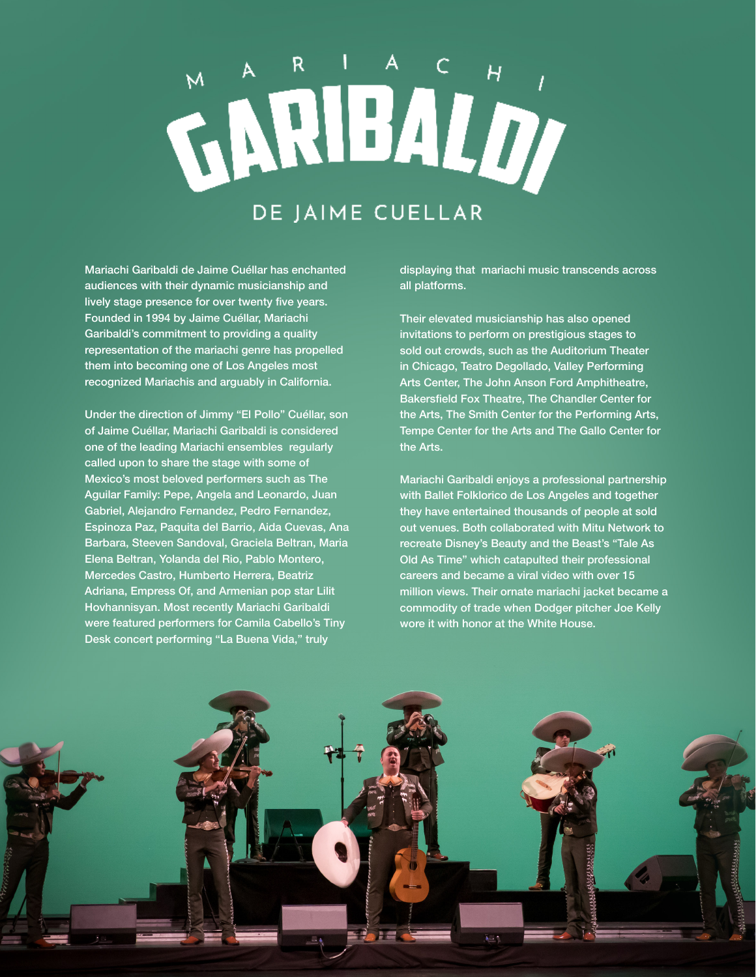## WARIBALD DE JAIME CUELLAR

Mariachi Garibaldi de Jaime Cuéllar has enchanted audiences with their dynamic musicianship and lively stage presence for over twenty five years. Founded in 1994 by Jaime Cuéllar, Mariachi Garibaldi's commitment to providing a quality representation of the mariachi genre has propelled them into becoming one of Los Angeles most recognized Mariachis and arguably in California.

Under the direction of Jimmy "El Pollo" Cuéllar, son of Jaime Cuéllar, Mariachi Garibaldi is considered one of the leading Mariachi ensembles regularly called upon to share the stage with some of Mexico's most beloved performers such as The Aguilar Family: Pepe, Angela and Leonardo, Juan Gabriel, Alejandro Fernandez, Pedro Fernandez, Espinoza Paz, Paquita del Barrio, Aida Cuevas, Ana Barbara, Steeven Sandoval, Graciela Beltran, Maria Elena Beltran, Yolanda del Rio, Pablo Montero, Mercedes Castro, Humberto Herrera, Beatriz Adriana, Empress Of, and Armenian pop star Lilit Hovhannisyan. Most recently Mariachi Garibaldi were featured performers for Camila Cabello's Tiny Desk concert performing "La Buena Vida," truly

displaying that mariachi music transcends across all platforms.

Their elevated musicianship has also opened invitations to perform on prestigious stages to sold out crowds, such as the Auditorium Theater in Chicago, Teatro Degollado, Valley Performing Arts Center, The John Anson Ford Amphitheatre, Bakersfield Fox Theatre, The Chandler Center for the Arts, The Smith Center for the Performing Arts, Tempe Center for the Arts and The Gallo Center for the Arts.

Mariachi Garibaldi enjoys a professional partnership with Ballet Folklorico de Los Angeles and together they have entertained thousands of people at sold out venues. Both collaborated with Mitu Network to recreate Disney's Beauty and the Beast's "Tale As Old As Time" which catapulted their professional careers and became a viral video with over 15 million views. Their ornate mariachi jacket became a commodity of trade when Dodger pitcher Joe Kelly wore it with honor at the White House.